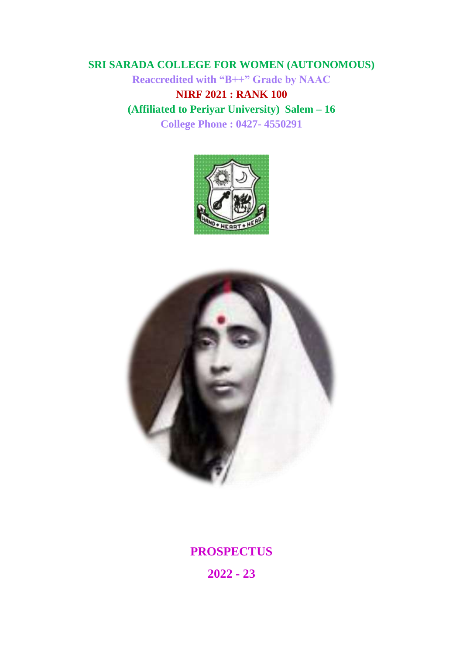# **SRI SARADA COLLEGE FOR WOMEN (AUTONOMOUS)**

**Reaccredited with "B++" Grade by NAAC**

**NIRF 2021 : RANK 100 (Affiliated to Periyar University) Salem – 16 College Phone : 0427- 4550291**





**PROSPECTUS**

**2022 - 23**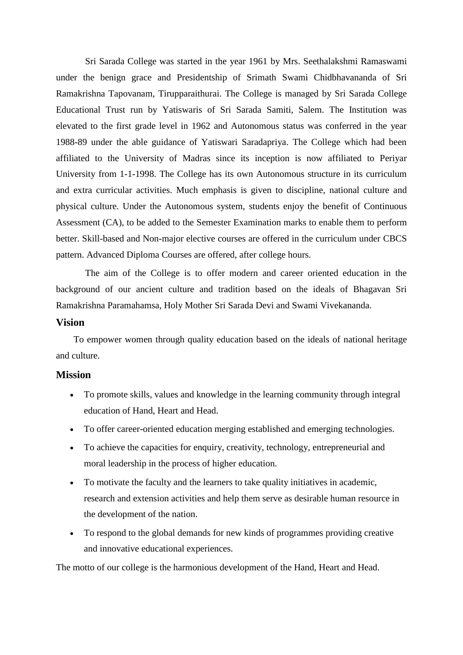Sri Sarada College was started in the year 1961 by Mrs. Seethalakshmi Ramaswami under the benign grace and Presidentship of Srimath Swami Chidbhavananda of Sri Ramakrishna Tapovanam, Tirupparaithurai. The College is managed by Sri Sarada College Educational Trust run by Yatiswaris of Sri Sarada Samiti, Salem. The Institution was elevated to the first grade level in 1962 and Autonomous status was conferred in the year 1988-89 under the able guidance of Yatiswari Saradapriya. The College which had been affiliated to the University of Madras since its inception is now affiliated to Periyar University from 1-1-1998. The College has its own Autonomous structure in its curriculum and extra curricular activities. Much emphasis is given to discipline, national culture and physical culture. Under the Autonomous system, students enjoy the benefit of Continuous Assessment (CA), to be added to the Semester Examination marks to enable them to perform better. Skill-based and Non-major elective courses are offered in the curriculum under CBCS pattern. Advanced Diploma Courses are offered, after college hours.

The aim of the College is to offer modern and career oriented education in the background of our ancient culture and tradition based on the ideals of Bhagavan Sri Ramakrishna Paramahamsa, Holy Mother Sri Sarada Devi and Swami Vivekananda.

## **Vision**

To empower women through quality education based on the ideals of national heritage and culture.

### **Mission**

- To promote skills, values and knowledge in the learning community through integral education of Hand, Heart and Head.
- To offer career-oriented education merging established and emerging technologies.
- To achieve the capacities for enquiry, creativity, technology, entrepreneurial and moral leadership in the process of higher education.
- To motivate the faculty and the learners to take quality initiatives in academic, research and extension activities and help them serve as desirable human resource in the development of the nation.
- To respond to the global demands for new kinds of programmes providing creative and innovative educational experiences.

The motto of our college is the harmonious development of the Hand, Heart and Head.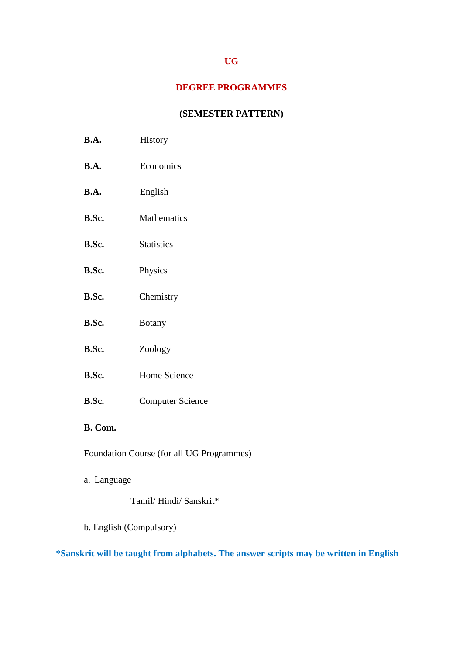# **UG**

## **DEGREE PROGRAMMES**

# **(SEMESTER PATTERN)**

- **B.A.** History
- **B.A.** Economics
- **B.A.** English
- **B.Sc.** Mathematics
- **B.Sc.** Statistics
- **B.Sc.** Physics
- **B.Sc.** Chemistry
- **B.Sc.** Botany
- **B.Sc.** Zoology
- **B.Sc.** Home Science
- **B.Sc.** Computer Science

# **B. Com.**

Foundation Course (for all UG Programmes)

a. Language

# Tamil/ Hindi/ Sanskrit\*

b. English (Compulsory)

# **\*Sanskrit will be taught from alphabets. The answer scripts may be written in English**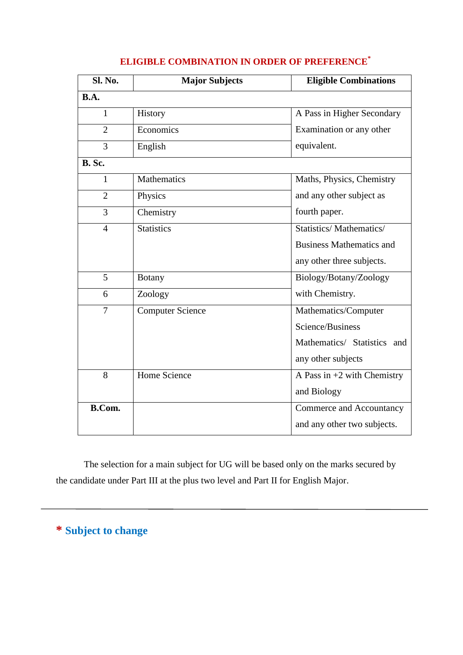| Sl. No.        | <b>Major Subjects</b>   | <b>Eligible Combinations</b>    |
|----------------|-------------------------|---------------------------------|
| <b>B.A.</b>    |                         |                                 |
| $\mathbf{1}$   | History                 | A Pass in Higher Secondary      |
| $\overline{2}$ | Economics               | Examination or any other        |
| 3              | English                 | equivalent.                     |
| <b>B.</b> Sc.  |                         |                                 |
| $\mathbf{1}$   | <b>Mathematics</b>      | Maths, Physics, Chemistry       |
| $\overline{2}$ | Physics                 | and any other subject as        |
| 3              | Chemistry               | fourth paper.                   |
| $\overline{4}$ | <b>Statistics</b>       | Statistics/Mathematics/         |
|                |                         | <b>Business Mathematics and</b> |
|                |                         | any other three subjects.       |
| 5              | <b>Botany</b>           | Biology/Botany/Zoology          |
| 6              | Zoology                 | with Chemistry.                 |
| 7              | <b>Computer Science</b> | Mathematics/Computer            |
|                |                         | Science/Business                |
|                |                         | Mathematics/ Statistics and     |
|                |                         | any other subjects              |
| 8              | Home Science            | A Pass in $+2$ with Chemistry   |
|                |                         | and Biology                     |
| <b>B.Com.</b>  |                         | Commerce and Accountancy        |
|                |                         | and any other two subjects.     |

# **ELIGIBLE COMBINATION IN ORDER OF PREFERENCE\***

The selection for a main subject for UG will be based only on the marks secured by the candidate under Part III at the plus two level and Part II for English Major.

**\* Subject to change**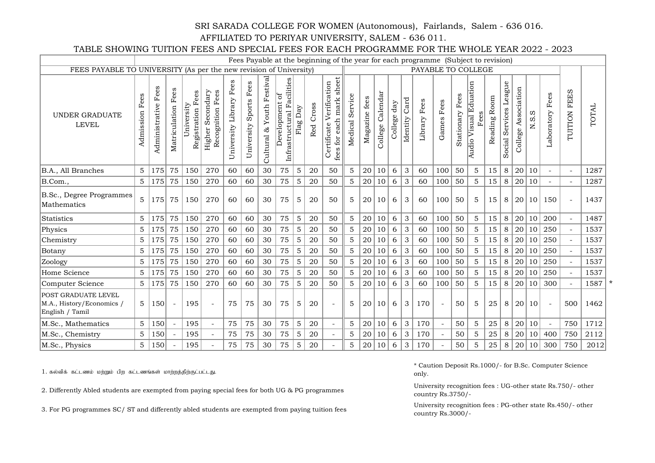#### SRI SARADA COLLEGE FOR WOMEN (Autonomous), Fairlands, Salem - 636 016.

#### AFFILIATED TO PERIYAR UNIVERSITY, SALEM - 636 011.

TABLE SHOWING TUITION FEES AND SPECIAL FEES FOR EACH PROGRAMME FOR THE WHOLE YEAR 2022 - 2023

|                                                                            |                   |                     |                       |                                |                                                |                         |                                |                                     |                                               |             |              | Fees Payable at the beginning of the year for each programme (Subject to revision) |                   |                  |                     |                |                  |                    |            |                    |                                      |              |                              |                     |       |                          |                          |       |
|----------------------------------------------------------------------------|-------------------|---------------------|-----------------------|--------------------------------|------------------------------------------------|-------------------------|--------------------------------|-------------------------------------|-----------------------------------------------|-------------|--------------|------------------------------------------------------------------------------------|-------------------|------------------|---------------------|----------------|------------------|--------------------|------------|--------------------|--------------------------------------|--------------|------------------------------|---------------------|-------|--------------------------|--------------------------|-------|
| FEES PAYABLE TO UNIVERSITY (As per the new revision of University)         |                   |                     |                       |                                |                                                |                         |                                |                                     |                                               |             |              |                                                                                    |                   |                  |                     |                |                  | PAYABLE TO COLLEGE |            |                    |                                      |              |                              |                     |       |                          |                          |       |
| <b>UNDER GRADUATE</b><br><b>LEVEL</b>                                      | Fees<br>Admission | Administrative Fees | Fees<br>Matriculation | Registration Fees<br>niversity | Secondary<br>Recognition Fees<br><b>Higher</b> | University Library Fees | Fees<br>Sports .<br>University | Festival<br>Youth<br>ಜೆ<br>Cultural | Infrastructural Facilities<br>đ<br>evelopment | Day<br>Flag | Cross<br>Red | sheet<br>Verification<br>mark<br>fees for each<br>Certificate                      | Servic<br>Medical | fees<br>Magazine | Calendar<br>College | day<br>College | Card<br>Identity | Library Fees       | Games Fees | Fees<br>Stationary | <b>Audio Visual Eduation</b><br>Fees | Reading Room | League<br>Services<br>Social | College Association | N.S.S | Laboratory Fees          | <b>TUITION FEES</b>      | TOTAL |
| B.A., All Branches                                                         | 5                 | 175                 | 75                    | 150                            | 270                                            | 60                      | 60                             | 30                                  | 75                                            | 5           | 20           | 50                                                                                 | 5                 | 20               | 10                  | 6              | 3                | 60                 | 100        | 50                 | $\mathbf{5}$                         | 15           | 8                            | 20                  | 10    | $\sim$                   | $\overline{a}$           | 1287  |
| B.Com.,                                                                    | $\mathbf 5$       | 175                 | 75                    | 150                            | 270                                            | 60                      | 60                             | 30                                  | 75                                            | 5           | 20           | 50                                                                                 | 5                 | 20               | 10                  | 6              | 3                | 60                 | 100        | 50                 | 5                                    | 15           | 8                            | 20                  | 10    | $\overline{\phantom{a}}$ | $\overline{\phantom{a}}$ | 1287  |
| B.Sc., Degree Programmes<br>Mathematics                                    | 5                 | 175                 | 75                    | 150                            | 270                                            | 60                      | 60                             | 30                                  | 75                                            | 5           | 20           | 50                                                                                 | 5                 | 20               | 10                  | 6              | 3                | 60                 | 100        | 50                 | 5                                    | 15           | 8                            | 20 <sup>1</sup>     |       | 10 150                   |                          | 1437  |
| Statistics                                                                 | 5                 | 175                 | 75                    | 150                            | 270                                            | 60                      | 60                             | 30                                  | 75                                            | 5           | 20           | 50                                                                                 | 5                 | 20               | 10                  | 6              | 3                | 60                 | 100        | 50                 | 5                                    | 15           | 8                            | 20 <sup>1</sup>     | 10    | 200                      | $\overline{a}$           | 1487  |
| Physics                                                                    | 5                 | 175                 | 75                    | 150                            | 270                                            | 60                      | 60                             | 30                                  | 75                                            | 5           | 20           | 50                                                                                 | 5                 | 20               | 10                  | 6              | 3                | 60                 | 100        | 50                 | 5                                    | 15           | 8                            | 20                  | 10    | 250                      | $\sim$                   | 1537  |
| Chemistry                                                                  | 5                 | 175                 | 75                    | 150                            | 270                                            | 60                      | 60                             | 30                                  | 75                                            | 5           | 20           | 50                                                                                 | 5                 | 20               | 10                  | 6              | 3                | 60                 | 100        | 50                 | 5                                    | 15           | 8                            | 20                  | 10    | 250                      |                          | 1537  |
| Botany                                                                     | $\mathbf 5$       | 175                 | 75                    | 150                            | 270                                            | 60                      | 60                             | 30                                  | 75                                            | $\mathbf 5$ | 20           | 50                                                                                 | 5                 | 20               | 10                  | 6              | 3                | 60                 | 100        | 50                 | 5                                    | 15           | 8                            | 20                  | 10    | 250                      |                          | 1537  |
| Zoology                                                                    | 5                 | 175                 | 75                    | 150                            | 270                                            | 60                      | 60                             | 30                                  | 75                                            | 5           | 20           | 50                                                                                 | 5                 | 20               | 10                  | 6              | 3                | 60                 | 100        | 50                 | 5                                    | 15           | 8                            | 20                  | 10    | 250                      |                          | 1537  |
| Home Science                                                               | 5                 | 175                 | 75                    | 150                            | 270                                            | 60                      | 60                             | 30                                  | 75                                            | 5           | 20           | 50                                                                                 | 5                 | 20               | 10                  | 6              | 3                | 60                 | 100        | 50                 | 5 <sup>5</sup>                       | 15           | 8                            | 20                  | 10    | 250                      | $\overline{\phantom{a}}$ | 1537  |
| Computer Science                                                           | 5                 | 175                 | 75                    | 150                            | 270                                            | 60                      | 60                             | 30                                  | 75                                            | 5           | 20           | 50                                                                                 | 5                 | 20               | 10                  | 6              | 3                | 60                 | 100        | 50                 | 5                                    | 15           | 8                            | 20                  | 10    | 300                      |                          | 1587  |
| <b>POST GRADUATE LEVEL</b><br>M.A., History/Economics /<br>English / Tamil | 5                 | 150                 |                       | 195                            |                                                | 75                      | 75                             | 30                                  | 75                                            | 5           | 20           | $\sim$                                                                             | 5                 | 20               | 10                  | 6              | 3                | 170                |            | 50                 | 5                                    | 25           | 8                            | 20 <sup>1</sup>     | 10    |                          | 500                      | 1462  |
| M.Sc., Mathematics                                                         | 5                 | 150                 |                       | 195                            |                                                | 75                      | 75                             | 30                                  | 75                                            | 5           | 20           | $\overline{\phantom{a}}$                                                           | 5                 | 20               | 10                  | 6              | 3                | 170                |            | 50                 | 5                                    | 25           | 8                            | 20                  | 10    |                          | 750                      | 1712  |
| M.Sc., Chemistry                                                           | 5                 | 150                 |                       | 195                            |                                                | 75                      | 75                             | 30                                  | 75                                            | 5           | 20           |                                                                                    | 5                 | 20               | 10                  | 6              | 3                | 170                |            | 50                 | 5                                    | 25           | 8                            | 20                  | 10    | 400                      | 750                      | 2112  |
| M.Sc., Physics                                                             | 5                 | 150                 |                       | 195                            |                                                | 75                      | 75                             | 30                                  | 75                                            | 5           | 20           |                                                                                    | 5                 | 20               | 10                  | 6              | 3                | 170                |            | 50                 | 5                                    | 25           | $8\,$                        | 20                  | 10    | 300                      | 750                      | 2012  |

 $1.$  கல்விக் கட்டணம் மற்றும் பிற கட்டணங்கள் மாற்றத்திற்குட்பட்டது.

2. Differently Abled students are exempted from paying special fees for both UG & PG programmes

3. For PG programmes SC/ ST and differently abled students are exempted from paying tuition fees

\* Caution Deposit Rs.1000/- for B.Sc. Computer Science only.

University recognition fees : UG-other state Rs.750/- other country Rs.3750/-

University recognition fees : PG-other state Rs.450/- other country Rs.3000/-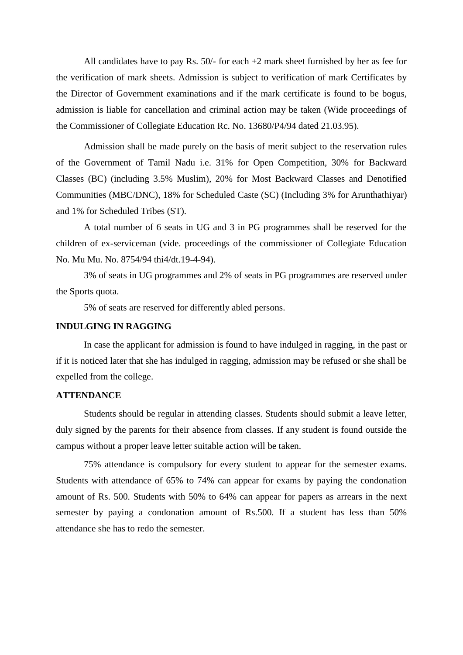All candidates have to pay Rs. 50/- for each +2 mark sheet furnished by her as fee for the verification of mark sheets. Admission is subject to verification of mark Certificates by the Director of Government examinations and if the mark certificate is found to be bogus, admission is liable for cancellation and criminal action may be taken (Wide proceedings of the Commissioner of Collegiate Education Rc. No. 13680/P4/94 dated 21.03.95).

Admission shall be made purely on the basis of merit subject to the reservation rules of the Government of Tamil Nadu i.e. 31% for Open Competition, 30% for Backward Classes (BC) (including 3.5% Muslim), 20% for Most Backward Classes and Denotified Communities (MBC/DNC), 18% for Scheduled Caste (SC) (Including 3% for Arunthathiyar) and 1% for Scheduled Tribes (ST).

A total number of 6 seats in UG and 3 in PG programmes shall be reserved for the children of ex-serviceman (vide. proceedings of the commissioner of Collegiate Education No. Mu Mu. No. 8754/94 thi4/dt.19-4-94).

3% of seats in UG programmes and 2% of seats in PG programmes are reserved under the Sports quota.

5% of seats are reserved for differently abled persons.

#### **INDULGING IN RAGGING**

In case the applicant for admission is found to have indulged in ragging, in the past or if it is noticed later that she has indulged in ragging, admission may be refused or she shall be expelled from the college.

## **ATTENDANCE**

Students should be regular in attending classes. Students should submit a leave letter, duly signed by the parents for their absence from classes. If any student is found outside the campus without a proper leave letter suitable action will be taken.

75% attendance is compulsory for every student to appear for the semester exams. Students with attendance of 65% to 74% can appear for exams by paying the condonation amount of Rs. 500. Students with 50% to 64% can appear for papers as arrears in the next semester by paying a condonation amount of Rs.500. If a student has less than 50% attendance she has to redo the semester.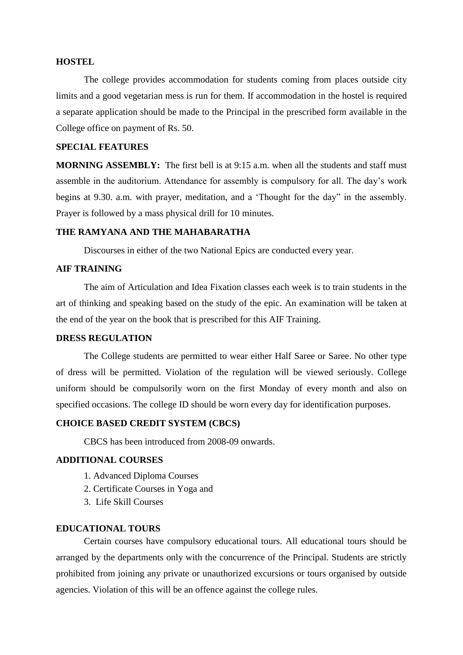#### **HOSTEL**

The college provides accommodation for students coming from places outside city limits and a good vegetarian mess is run for them. If accommodation in the hostel is required a separate application should be made to the Principal in the prescribed form available in the College office on payment of Rs. 50.

### **SPECIAL FEATURES**

**MORNING ASSEMBLY:** The first bell is at 9:15 a.m. when all the students and staff must assemble in the auditorium. Attendance for assembly is compulsory for all. The day's work begins at 9.30. a.m. with prayer, meditation, and a 'Thought for the day" in the assembly. Prayer is followed by a mass physical drill for 10 minutes.

# **THE RAMYANA AND THE MAHABARATHA**

Discourses in either of the two National Epics are conducted every year.

# **AIF TRAINING**

The aim of Articulation and Idea Fixation classes each week is to train students in the art of thinking and speaking based on the study of the epic. An examination will be taken at the end of the year on the book that is prescribed for this AIF Training.

## **DRESS REGULATION**

The College students are permitted to wear either Half Saree or Saree. No other type of dress will be permitted. Violation of the regulation will be viewed seriously. College uniform should be compulsorily worn on the first Monday of every month and also on specified occasions. The college ID should be worn every day for identification purposes.

## **CHOICE BASED CREDIT SYSTEM (CBCS)**

CBCS has been introduced from 2008-09 onwards.

#### **ADDITIONAL COURSES**

- 1. Advanced Diploma Courses
- 2. Certificate Courses in Yoga and
- 3. Life Skill Courses

#### **EDUCATIONAL TOURS**

Certain courses have compulsory educational tours. All educational tours should be arranged by the departments only with the concurrence of the Principal. Students are strictly prohibited from joining any private or unauthorized excursions or tours organised by outside agencies. Violation of this will be an offence against the college rules.